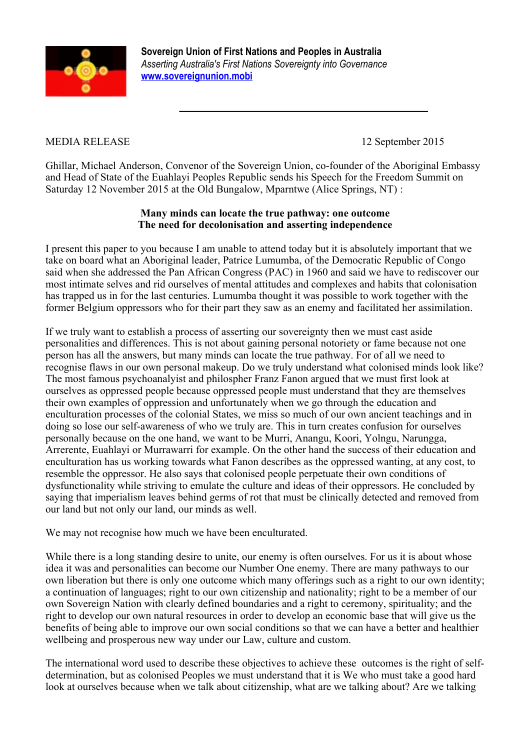

 **Sovereign Union of First Nations and Peoples in Australia** *Asserting Australia's First Nations Sovereignty into Governance*  **[www.sovereignunion.mobi](http://www.sovereignunion.mobi/)**

*\_\_\_\_\_\_\_\_\_\_\_\_\_\_\_\_\_\_\_\_\_\_\_\_\_\_\_\_\_\_\_*

## MEDIA RELEASE 12 September 2015

Ghillar, Michael Anderson, Convenor of the Sovereign Union, co-founder of the Aboriginal Embassy and Head of State of the Euahlayi Peoples Republic sends his Speech for the Freedom Summit on Saturday 12 November 2015 at the Old Bungalow, Mparntwe (Alice Springs, NT) :

## **Many minds can locate the true pathway: one outcome The need for decolonisation and asserting independence**

I present this paper to you because I am unable to attend today but it is absolutely important that we take on board what an Aboriginal leader, Patrice Lumumba, of the Democratic Republic of Congo said when she addressed the Pan African Congress (PAC) in 1960 and said we have to rediscover our most intimate selves and rid ourselves of mental attitudes and complexes and habits that colonisation has trapped us in for the last centuries. Lumumba thought it was possible to work together with the former Belgium oppressors who for their part they saw as an enemy and facilitated her assimilation.

If we truly want to establish a process of asserting our sovereignty then we must cast aside personalities and differences. This is not about gaining personal notoriety or fame because not one person has all the answers, but many minds can locate the true pathway. For of all we need to recognise flaws in our own personal makeup. Do we truly understand what colonised minds look like? The most famous psychoanalyist and philospher Franz Fanon argued that we must first look at ourselves as oppressed people because oppressed people must understand that they are themselves their own examples of oppression and unfortunately when we go through the education and enculturation processes of the colonial States, we miss so much of our own ancient teachings and in doing so lose our self-awareness of who we truly are. This in turn creates confusion for ourselves personally because on the one hand, we want to be Murri, Anangu, Koori, Yolngu, Narungga, Arrerente, Euahlayi or Murrawarri for example. On the other hand the success of their education and enculturation has us working towards what Fanon describes as the oppressed wanting, at any cost, to resemble the oppressor. He also says that colonised people perpetuate their own conditions of dysfunctionality while striving to emulate the culture and ideas of their oppressors. He concluded by saying that imperialism leaves behind germs of rot that must be clinically detected and removed from our land but not only our land, our minds as well.

We may not recognise how much we have been enculturated.

While there is a long standing desire to unite, our enemy is often ourselves. For us it is about whose idea it was and personalities can become our Number One enemy. There are many pathways to our own liberation but there is only one outcome which many offerings such as a right to our own identity; a continuation of languages; right to our own citizenship and nationality; right to be a member of our own Sovereign Nation with clearly defined boundaries and a right to ceremony, spirituality; and the right to develop our own natural resources in order to develop an economic base that will give us the benefits of being able to improve our own social conditions so that we can have a better and healthier wellbeing and prosperous new way under our Law, culture and custom.

The international word used to describe these objectives to achieve these outcomes is the right of selfdetermination, but as colonised Peoples we must understand that it is We who must take a good hard look at ourselves because when we talk about citizenship, what are we talking about? Are we talking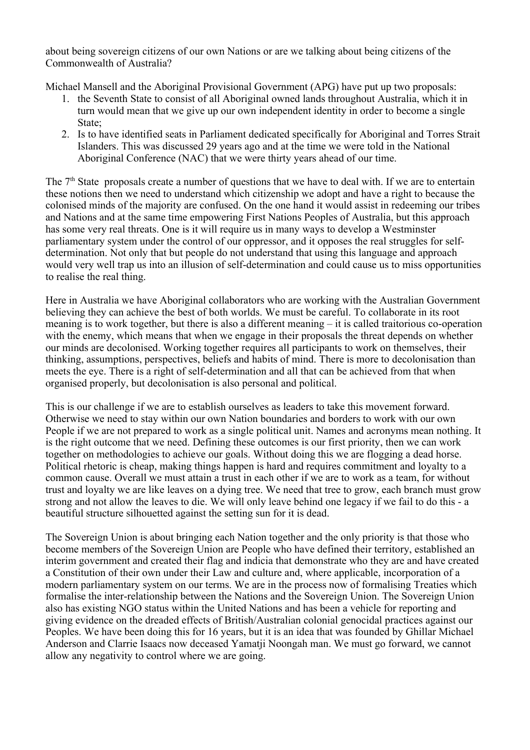about being sovereign citizens of our own Nations or are we talking about being citizens of the Commonwealth of Australia?

Michael Mansell and the Aboriginal Provisional Government (APG) have put up two proposals:

- 1. the Seventh State to consist of all Aboriginal owned lands throughout Australia, which it in turn would mean that we give up our own independent identity in order to become a single State;
- 2. Is to have identified seats in Parliament dedicated specifically for Aboriginal and Torres Strait Islanders. This was discussed 29 years ago and at the time we were told in the National Aboriginal Conference (NAC) that we were thirty years ahead of our time.

The  $7<sup>th</sup>$  State proposals create a number of questions that we have to deal with. If we are to entertain these notions then we need to understand which citizenship we adopt and have a right to because the colonised minds of the majority are confused. On the one hand it would assist in redeeming our tribes and Nations and at the same time empowering First Nations Peoples of Australia, but this approach has some very real threats. One is it will require us in many ways to develop a Westminster parliamentary system under the control of our oppressor, and it opposes the real struggles for selfdetermination. Not only that but people do not understand that using this language and approach would very well trap us into an illusion of self-determination and could cause us to miss opportunities to realise the real thing.

Here in Australia we have Aboriginal collaborators who are working with the Australian Government believing they can achieve the best of both worlds. We must be careful. To collaborate in its root meaning is to work together, but there is also a different meaning – it is called traitorious co-operation with the enemy, which means that when we engage in their proposals the threat depends on whether our minds are decolonised. Working together requires all participants to work on themselves, their thinking, assumptions, perspectives, beliefs and habits of mind. There is more to decolonisation than meets the eye. There is a right of self-determination and all that can be achieved from that when organised properly, but decolonisation is also personal and political.

This is our challenge if we are to establish ourselves as leaders to take this movement forward. Otherwise we need to stay within our own Nation boundaries and borders to work with our own People if we are not prepared to work as a single political unit. Names and acronyms mean nothing. It is the right outcome that we need. Defining these outcomes is our first priority, then we can work together on methodologies to achieve our goals. Without doing this we are flogging a dead horse. Political rhetoric is cheap, making things happen is hard and requires commitment and loyalty to a common cause. Overall we must attain a trust in each other if we are to work as a team, for without trust and loyalty we are like leaves on a dying tree. We need that tree to grow, each branch must grow strong and not allow the leaves to die. We will only leave behind one legacy if we fail to do this - a beautiful structure silhouetted against the setting sun for it is dead.

The Sovereign Union is about bringing each Nation together and the only priority is that those who become members of the Sovereign Union are People who have defined their territory, established an interim government and created their flag and indicia that demonstrate who they are and have created a Constitution of their own under their Law and culture and, where applicable, incorporation of a modern parliamentary system on our terms. We are in the process now of formalising Treaties which formalise the inter-relationship between the Nations and the Sovereign Union. The Sovereign Union also has existing NGO status within the United Nations and has been a vehicle for reporting and giving evidence on the dreaded effects of British/Australian colonial genocidal practices against our Peoples. We have been doing this for 16 years, but it is an idea that was founded by Ghillar Michael Anderson and Clarrie Isaacs now deceased Yamatji Noongah man. We must go forward, we cannot allow any negativity to control where we are going.